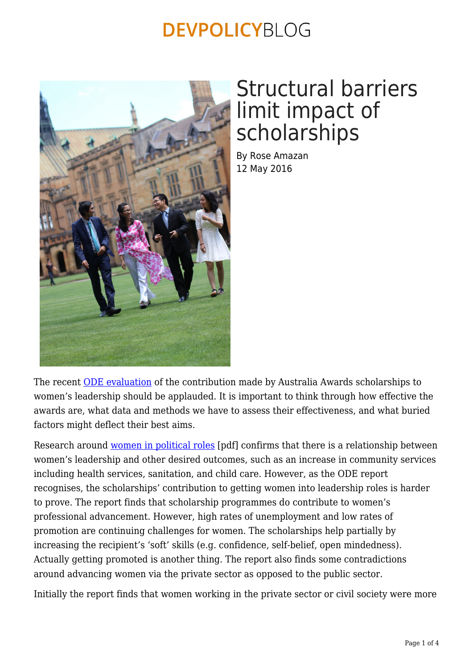

## Structural barriers limit impact of scholarships

By Rose Amazan 12 May 2016

The recent [ODE evaluation](http://dfat.gov.au/aid/how-we-measure-performance/ode/odepublications/Pages/evaluation-of-the-contribution-of-australia-awards-to-womens-leadership.aspx) of the contribution made by Australia Awards scholarships to women's leadership should be applauded. It is important to think through how effective the awards are, what data and methods we have to assess their effectiveness, and what buried factors might deflect their best aims.

Research around [women in political roles](https://www.odi.org/sites/odi.org.uk/files/odi-assets/publications-opinion-files/9627.pdf) [pdf] confirms that there is a relationship between women's leadership and other desired outcomes, such as an increase in community services including health services, sanitation, and child care. However, as the ODE report recognises, the scholarships' contribution to getting women into leadership roles is harder to prove. The report finds that scholarship programmes do contribute to women's professional advancement. However, high rates of unemployment and low rates of promotion are continuing challenges for women. The scholarships help partially by increasing the recipient's 'soft' skills (e.g. confidence, self-belief, open mindedness). Actually getting promoted is another thing. The report also finds some contradictions around advancing women via the private sector as opposed to the public sector.

Initially the report finds that women working in the private sector or civil society were more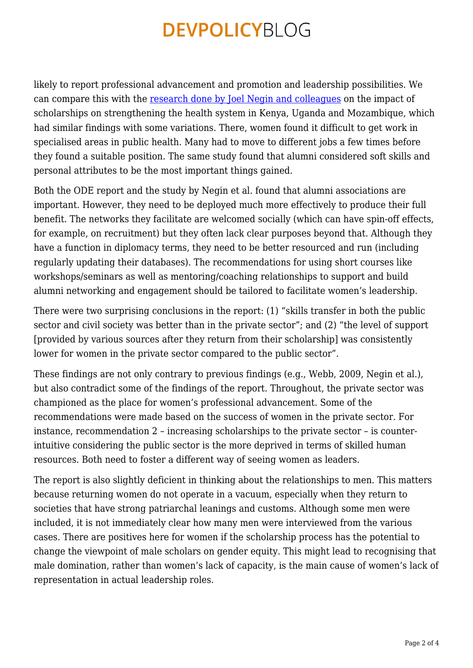likely to report professional advancement and promotion and leadership possibilities. We can compare this with the [research done by Joel Negin and colleagues](https://devpolicy.org/scholarships-and-the-aid-program-part-two-emerging-results-of-research-into-scholarships-in-three-african-countries-20140818/) on the impact of scholarships on strengthening the health system in Kenya, Uganda and Mozambique, which had similar findings with some variations. There, women found it difficult to get work in specialised areas in public health. Many had to move to different jobs a few times before they found a suitable position. The same study found that alumni considered soft skills and personal attributes to be the most important things gained.

Both the ODE report and the study by Negin et al. found that alumni associations are important. However, they need to be deployed much more effectively to produce their full benefit. The networks they facilitate are welcomed socially (which can have spin-off effects, for example, on recruitment) but they often lack clear purposes beyond that. Although they have a function in diplomacy terms, they need to be better resourced and run (including regularly updating their databases). The recommendations for using short courses like workshops/seminars as well as mentoring/coaching relationships to support and build alumni networking and engagement should be tailored to facilitate women's leadership.

There were two surprising conclusions in the report: (1) "skills transfer in both the public sector and civil society was better than in the private sector"; and (2) "the level of support [provided by various sources after they return from their scholarship] was consistently lower for women in the private sector compared to the public sector".

These findings are not only contrary to previous findings (e.g., Webb, 2009, Negin et al.), but also contradict some of the findings of the report. Throughout, the private sector was championed as the place for women's professional advancement. Some of the recommendations were made based on the success of women in the private sector. For instance, recommendation 2 – increasing scholarships to the private sector – is counterintuitive considering the public sector is the more deprived in terms of skilled human resources. Both need to foster a different way of seeing women as leaders.

The report is also slightly deficient in thinking about the relationships to men. This matters because returning women do not operate in a vacuum, especially when they return to societies that have strong patriarchal leanings and customs. Although some men were included, it is not immediately clear how many men were interviewed from the various cases. There are positives here for women if the scholarship process has the potential to change the viewpoint of male scholars on gender equity. This might lead to recognising that male domination, rather than women's lack of capacity, is the main cause of women's lack of representation in actual leadership roles.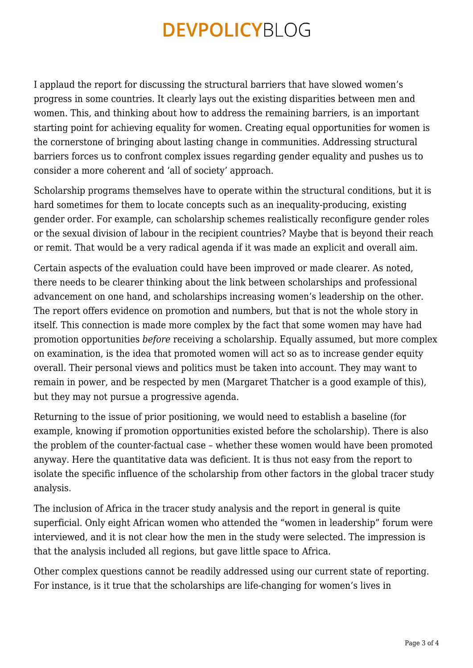I applaud the report for discussing the structural barriers that have slowed women's progress in some countries. It clearly lays out the existing disparities between men and women. This, and thinking about how to address the remaining barriers, is an important starting point for achieving equality for women. Creating equal opportunities for women is the cornerstone of bringing about lasting change in communities. Addressing structural barriers forces us to confront complex issues regarding gender equality and pushes us to consider a more coherent and 'all of society' approach.

Scholarship programs themselves have to operate within the structural conditions, but it is hard sometimes for them to locate concepts such as an inequality-producing, existing gender order. For example, can scholarship schemes realistically reconfigure gender roles or the sexual division of labour in the recipient countries? Maybe that is beyond their reach or remit. That would be a very radical agenda if it was made an explicit and overall aim.

Certain aspects of the evaluation could have been improved or made clearer. As noted, there needs to be clearer thinking about the link between scholarships and professional advancement on one hand, and scholarships increasing women's leadership on the other. The report offers evidence on promotion and numbers, but that is not the whole story in itself. This connection is made more complex by the fact that some women may have had promotion opportunities *before* receiving a scholarship. Equally assumed, but more complex on examination, is the idea that promoted women will act so as to increase gender equity overall. Their personal views and politics must be taken into account. They may want to remain in power, and be respected by men (Margaret Thatcher is a good example of this), but they may not pursue a progressive agenda.

Returning to the issue of prior positioning, we would need to establish a baseline (for example, knowing if promotion opportunities existed before the scholarship). There is also the problem of the counter-factual case – whether these women would have been promoted anyway. Here the quantitative data was deficient. It is thus not easy from the report to isolate the specific influence of the scholarship from other factors in the global tracer study analysis.

The inclusion of Africa in the tracer study analysis and the report in general is quite superficial. Only eight African women who attended the "women in leadership" forum were interviewed, and it is not clear how the men in the study were selected. The impression is that the analysis included all regions, but gave little space to Africa.

Other complex questions cannot be readily addressed using our current state of reporting. For instance, is it true that the scholarships are life-changing for women's lives in